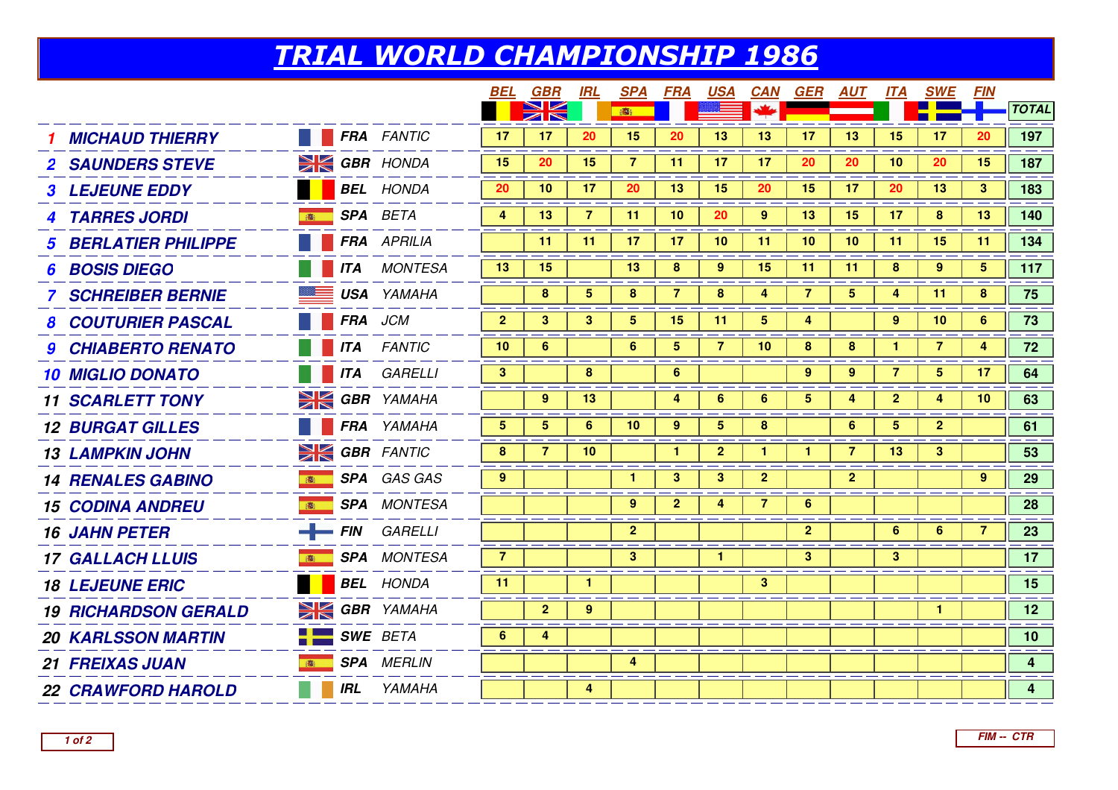## TRIAL WORLD CHAMPIONSHIP 1986

|                             |     |                      | BEL            | GBR            | <b>IRL</b>     | <b>SPA</b>     | FRA             | <b>USA</b>     | <b>CAN</b>     | <b>GER</b>   | <b>AUT</b>      | <b>ITA</b>     | <b>SWE</b>     | <b>FIN</b>      |                |
|-----------------------------|-----|----------------------|----------------|----------------|----------------|----------------|-----------------|----------------|----------------|--------------|-----------------|----------------|----------------|-----------------|----------------|
|                             |     |                      |                | $\geqslant$    |                | 瓣              |                 |                |                |              |                 |                |                |                 | <b>TOTAL</b>   |
| <b>MICHAUD THIERRY</b>      |     | <b>FRA</b> FANTIC    | 17             | 17             | 20             | 15             | 20              | 13             | 13             | 17           | 13              | 15             | 17             | 20              | 197            |
| <b>2 SAUNDERS STEVE</b>     |     | $\geq$ GBR HONDA     | 15             | 20             | 15             | 7 <sup>7</sup> | 11              | 17             | 17             | 20           | 20              | 10             | 20             | 15              | 187            |
| <b>3 LEJEUNE EDDY</b>       |     | <b>BEL</b> HONDA     | 20             | 10             | 17             | 20             | 13              | 15             | 20             | 15           | 17 <sub>2</sub> | 20             | 13             | $\mathbf{3}$    | 183            |
| <b>4 TARRES JORDI</b>       | 高   | SPA BETA             | 4              | 13             | $\overline{7}$ | 11             | 10 <sup>°</sup> | 20             | 9              | 13           | 15              | 17             | 8              | 13              | 140            |
| <b>BERLATIER PHILIPPE</b>   |     | <b>FRA</b> APRILIA   |                | 11             | 11             | 17             | 17              | 10             | 11             | 10           | 10              | 11             | 15             | 11              | 134            |
| <b>BOSIS DIEGO</b><br>6     |     | <b>ITA</b> MONTESA   | 13             | 15             |                | 13             | 8               | $9^{\circ}$    | 15             | 11           | -11             | 8              | 9              | $5^{\circ}$     | 117            |
| <b>SCHREIBER BERNIE</b>     |     | <b>USA</b> YAMAHA    |                | 8              | 5              | 8              | $\overline{7}$  | 8              | 4              | 7            | 5               | 4              | 11             | 8               | 75             |
| <b>8 COUTURIER PASCAL</b>   |     | <b>FRA</b> JCM       | $\mathbf{2}$   | 3              | 3              | 5              | 15              | 11             | $\overline{5}$ | 4            |                 | 9              | 10             | $6^{\circ}$     | 73             |
| <b>9 CHIABERTO RENATO</b>   |     | <b>ITA</b> FANTIC    | 10             | 6              |                | 6              | 5 <sup>1</sup>  | $\overline{7}$ | 10             | 8            | 8               | $\mathbf{1}$   | $\overline{7}$ | 4               | 72             |
| <b>10 MIGLIO DONATO</b>     |     | <b>ITA</b> GARELLI   | 3              |                | 8              |                | $6\phantom{a}$  |                |                | 9            | 9               | $\overline{7}$ | $5^{\circ}$    | 17              | 64             |
| <b>11 SCARLETT TONY</b>     |     | <b>SK GBR</b> YAMAHA |                | 9              | 13             |                | 4               | 6              | 6              | $5^{\circ}$  | 4               | $\mathbf{2}$   | 4              | 10 <sup>°</sup> | 63             |
| <b>12 BURGAT GILLES</b>     |     | <b>FRA</b> YAMAHA    | 5              | 5 <sup>5</sup> | $6\phantom{1}$ | 10             | 9               | 5              | 8              |              | 6               | 5              | $\overline{2}$ |                 | 61             |
| <b>13 LAMPKIN JOHN</b>      |     | <b>SK GBR</b> FANTIC | 8              | 7              | 10             |                | $\mathbf{1}$    | $\overline{2}$ | 1              | $\mathbf{1}$ | 7               | 13             | 3              |                 | 53             |
| <b>14 RENALES GABINO</b>    | 高   | SPA GAS GAS          | 9              |                |                | 1.             | 3 <sup>1</sup>  | 3              | $\overline{2}$ |              | $\mathbf{2}$    |                |                | 9               | 29             |
| <b>15 CODINA ANDREU</b>     |     | <b>SPA</b> MONTESA   |                |                |                | 9              | 2 <sup>1</sup>  | 4              | $\overline{7}$ | 6            |                 |                |                |                 | 28             |
| <b>16 JAHN PETER</b>        |     | $-$ FIN GARELLI      |                |                |                | $\overline{2}$ |                 |                |                | $\mathbf{2}$ |                 | 6 <sup>1</sup> | 6              | 7               | 23             |
| <b>17 GALLACH LLUIS</b>     |     | <b>SPA</b> MONTESA   | $\overline{7}$ |                |                | 3 <sup>2</sup> |                 | $\mathbf{1}$   |                | 3            |                 | 3 <sup>1</sup> |                |                 | 17             |
| <b>18 LEJEUNE ERIC</b>      |     | <b>BEL</b> HONDA     | 11             |                | $\mathbf{1}$   |                |                 |                | 3              |              |                 |                |                |                 | 15             |
| <b>19 RICHARDSON GERALD</b> |     | <b>SIGBR</b> YAMAHA  |                | $\overline{2}$ | $\overline{9}$ |                |                 |                |                |              |                 |                | $\mathbf{1}$   |                 | 12             |
| <b>20 KARLSSON MARTIN</b>   |     | <b>SWE BETA</b>      | 6              | 4              |                |                |                 |                |                |              |                 |                |                |                 | 10             |
| <b>21 FREIXAS JUAN</b>      | 高   | <b>SPA</b> MERLIN    |                |                |                | 4              |                 |                |                |              |                 |                |                |                 | $\overline{4}$ |
| <b>22 CRAWFORD HAROLD</b>   | IRL | YAMAHA               |                |                | 4              |                |                 |                |                |              |                 |                |                |                 | 4 <sup>1</sup> |
|                             |     |                      |                |                |                |                |                 |                |                |              |                 |                |                |                 |                |